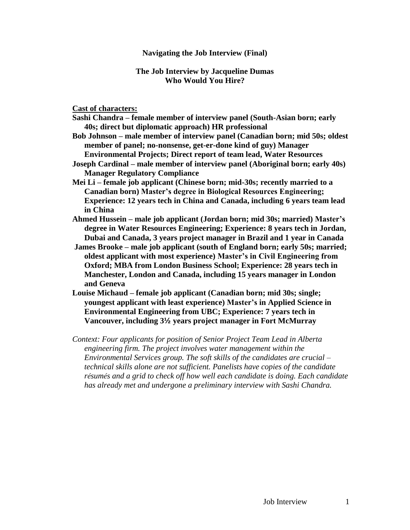## **Navigating the Job Interview (Final)**

## **The Job Interview by Jacqueline Dumas Who Would You Hire?**

## **Cast of characters:**

- **Sashi Chandra – female member of interview panel (South-Asian born; early 40s; direct but diplomatic approach) HR professional**
- **Bob Johnson – male member of interview panel (Canadian born; mid 50s; oldest member of panel; no-nonsense, get-er-done kind of guy) Manager Environmental Projects; Direct report of team lead, Water Resources**
- **Joseph Cardinal – male member of interview panel (Aboriginal born; early 40s) Manager Regulatory Compliance**
- **Mei Li – female job applicant (Chinese born; mid-30s; recently married to a Canadian born) Master's degree in Biological Resources Engineering; Experience: 12 years tech in China and Canada, including 6 years team lead in China**
- **Ahmed Hussein – male job applicant (Jordan born; mid 30s; married) Master's degree in Water Resources Engineering; Experience: 8 years tech in Jordan, Dubai and Canada, 3 years project manager in Brazil and 1 year in Canada**
- **James Brooke – male job applicant (south of England born; early 50s; married; oldest applicant with most experience) Master's in Civil Engineering from Oxford; MBA from London Business School; Experience: 28 years tech in Manchester, London and Canada, including 15 years manager in London and Geneva**
- **Louise Michaud – female job applicant (Canadian born; mid 30s; single; youngest applicant with least experience) Master's in Applied Science in Environmental Engineering from UBC; Experience: 7 years tech in Vancouver, including 3½ years project manager in Fort McMurray**
- *Context: Four applicants for position of Senior Project Team Lead in Alberta engineering firm. The project involves water management within the Environmental Services group. The soft skills of the candidates are crucial – technical skills alone are not sufficient. Panelists have copies of the candidate résumés and a grid to check off how well each candidate is doing. Each candidate has already met and undergone a preliminary interview with Sashi Chandra.*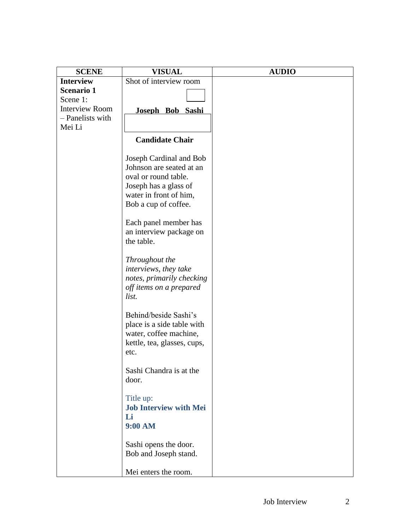| <b>SCENE</b>          | <b>VISUAL</b>                 | <b>AUDIO</b> |
|-----------------------|-------------------------------|--------------|
| <b>Interview</b>      | Shot of interview room        |              |
| Scenario 1            |                               |              |
| Scene 1:              |                               |              |
| <b>Interview Room</b> | Joseph Bob Sashi              |              |
| - Panelists with      |                               |              |
| Mei Li                |                               |              |
|                       | <b>Candidate Chair</b>        |              |
|                       | Joseph Cardinal and Bob       |              |
|                       | Johnson are seated at an      |              |
|                       | oval or round table.          |              |
|                       | Joseph has a glass of         |              |
|                       | water in front of him,        |              |
|                       | Bob a cup of coffee.          |              |
|                       | Each panel member has         |              |
|                       | an interview package on       |              |
|                       | the table.                    |              |
|                       |                               |              |
|                       | Throughout the                |              |
|                       | interviews, they take         |              |
|                       | notes, primarily checking     |              |
|                       | off items on a prepared       |              |
|                       | list.                         |              |
|                       | Behind/beside Sashi's         |              |
|                       | place is a side table with    |              |
|                       | water, coffee machine,        |              |
|                       | kettle, tea, glasses, cups,   |              |
|                       | etc.                          |              |
|                       |                               |              |
|                       | Sashi Chandra is at the       |              |
|                       | door.                         |              |
|                       |                               |              |
|                       | Title up:                     |              |
|                       | <b>Job Interview with Mei</b> |              |
|                       | Li                            |              |
|                       | 9:00 AM                       |              |
|                       | Sashi opens the door.         |              |
|                       | Bob and Joseph stand.         |              |
|                       |                               |              |
|                       | Mei enters the room.          |              |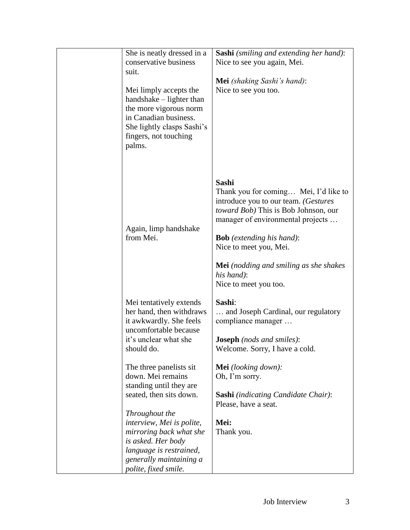| She is neatly dressed in a<br>conservative business<br>suit.<br>Mei limply accepts the<br>handshake – lighter than<br>the more vigorous norm<br>in Canadian business.<br>She lightly clasps Sashi's<br>fingers, not touching<br>palms.                                           | <b>Sashi</b> (smiling and extending her hand):<br>Nice to see you again, Mei.<br><b>Mei</b> (shaking Sashi's hand):<br>Nice to see you too.                                                                                                                                                                                      |
|----------------------------------------------------------------------------------------------------------------------------------------------------------------------------------------------------------------------------------------------------------------------------------|----------------------------------------------------------------------------------------------------------------------------------------------------------------------------------------------------------------------------------------------------------------------------------------------------------------------------------|
| Again, limp handshake<br>from Mei.                                                                                                                                                                                                                                               | <b>Sashi</b><br>Thank you for coming Mei, I'd like to<br>introduce you to our team. (Gestures<br>toward Bob) This is Bob Johnson, our<br>manager of environmental projects<br><b>Bob</b> (extending his hand):<br>Nice to meet you, Mei.<br><b>Mei</b> (nodding and smiling as she shakes<br>his hand):<br>Nice to meet you too. |
| Mei tentatively extends<br>her hand, then withdraws<br>it awkwardly. She feels<br>uncomfortable because<br>it's unclear what she<br>should do.                                                                                                                                   | Sashi:<br>and Joseph Cardinal, our regulatory<br>compliance manager<br><b>Joseph</b> (nods and smiles):<br>Welcome. Sorry, I have a cold.                                                                                                                                                                                        |
| The three panelists sit<br>down. Mei remains<br>standing until they are<br>seated, then sits down.<br>Throughout the<br>interview, Mei is polite,<br>mirroring back what she<br>is asked. Her body<br>language is restrained,<br>generally maintaining a<br>polite, fixed smile. | <b>Mei</b> (looking down):<br>Oh, I'm sorry.<br><b>Sashi</b> (indicating Candidate Chair):<br>Please, have a seat.<br>Mei:<br>Thank you.                                                                                                                                                                                         |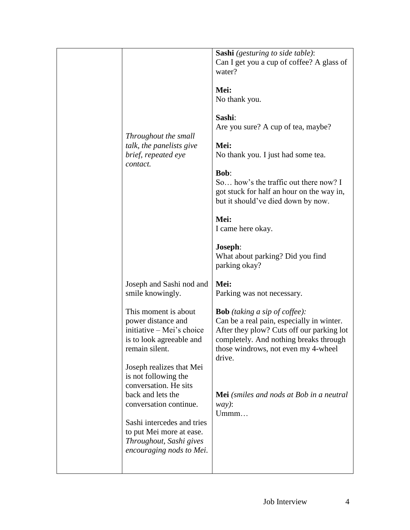| Throughout the small<br>talk, the panelists give<br>brief, repeated eye<br>contact.                                                                                                                | <b>Sashi</b> (gesturing to side table):<br>Can I get you a cup of coffee? A glass of<br>water?<br>Mei:<br>No thank you.<br>Sashi:<br>Are you sure? A cup of tea, maybe?<br>Mei:<br>No thank you. I just had some tea.<br><b>Bob:</b><br>So how's the traffic out there now? I<br>got stuck for half an hour on the way in,<br>but it should've died down by now. |
|----------------------------------------------------------------------------------------------------------------------------------------------------------------------------------------------------|------------------------------------------------------------------------------------------------------------------------------------------------------------------------------------------------------------------------------------------------------------------------------------------------------------------------------------------------------------------|
|                                                                                                                                                                                                    | Mei:<br>I came here okay.<br>Joseph:<br>What about parking? Did you find<br>parking okay?                                                                                                                                                                                                                                                                        |
| Joseph and Sashi nod and<br>smile knowingly.                                                                                                                                                       | Mei:<br>Parking was not necessary.                                                                                                                                                                                                                                                                                                                               |
| This moment is about<br>power distance and<br>initiative – Mei's choice<br>is to look agreeable and<br>remain silent.<br>Joseph realizes that Mei<br>is not following the<br>conversation. He sits | <b>Bob</b> (taking a sip of coffee):<br>Can be a real pain, especially in winter.<br>After they plow? Cuts off our parking lot<br>completely. And nothing breaks through<br>those windrows, not even my 4-wheel<br>drive.                                                                                                                                        |
| back and lets the<br>conversation continue.<br>Sashi intercedes and tries<br>to put Mei more at ease.<br>Throughout, Sashi gives<br>encouraging nods to Mei.                                       | Mei (smiles and nods at Bob in a neutral<br>$way)$ :<br>Ummm                                                                                                                                                                                                                                                                                                     |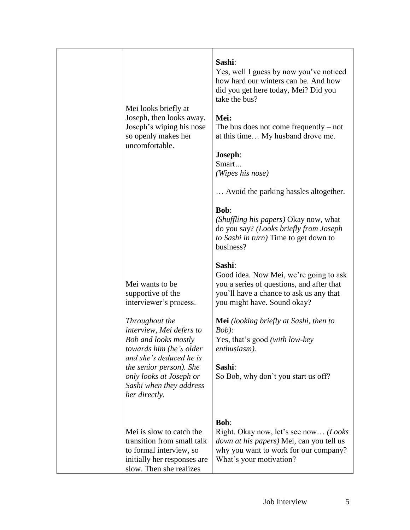| Mei looks briefly at<br>Joseph, then looks away.<br>Joseph's wiping his nose<br>so openly makes her<br>uncomfortable.<br>Mei wants to be<br>supportive of the<br>interviewer's process.                                                  | Sashi:<br>Yes, well I guess by now you've noticed<br>how hard our winters can be. And how<br>did you get here today, Mei? Did you<br>take the bus?<br>Mei:<br>The bus does not come frequently $-$ not<br>at this time My husband drove me.<br>Joseph:<br>Smart<br>(Wipes his nose)<br>Avoid the parking hassles altogether.<br><b>Bob:</b><br>(Shuffling his papers) Okay now, what<br>do you say? (Looks briefly from Joseph<br>to Sashi in turn) Time to get down to<br>business?<br>Sashi:<br>Good idea. Now Mei, we're going to ask<br>you a series of questions, and after that<br>you'll have a chance to ask us any that<br>you might have. Sound okay? |
|------------------------------------------------------------------------------------------------------------------------------------------------------------------------------------------------------------------------------------------|-----------------------------------------------------------------------------------------------------------------------------------------------------------------------------------------------------------------------------------------------------------------------------------------------------------------------------------------------------------------------------------------------------------------------------------------------------------------------------------------------------------------------------------------------------------------------------------------------------------------------------------------------------------------|
| Throughout the<br>interview, Mei defers to<br><b>Bob and looks mostly</b><br>towards him (he's older<br>and she's deduced he is<br><i>the senior person). She</i><br>only looks at Joseph or<br>Sashi when they address<br>her directly. | <b>Mei</b> (looking briefly at Sashi, then to<br>Bob):<br>Yes, that's good (with low-key<br>enthusiasm).<br>Sashi:<br>So Bob, why don't you start us off?                                                                                                                                                                                                                                                                                                                                                                                                                                                                                                       |
| Mei is slow to catch the<br>transition from small talk<br>to formal interview, so<br>initially her responses are<br>slow. Then she realizes                                                                                              | <b>Bob:</b><br>Right. Okay now, let's see now (Looks<br><i>down at his papers</i> ) Mei, can you tell us<br>why you want to work for our company?<br>What's your motivation?                                                                                                                                                                                                                                                                                                                                                                                                                                                                                    |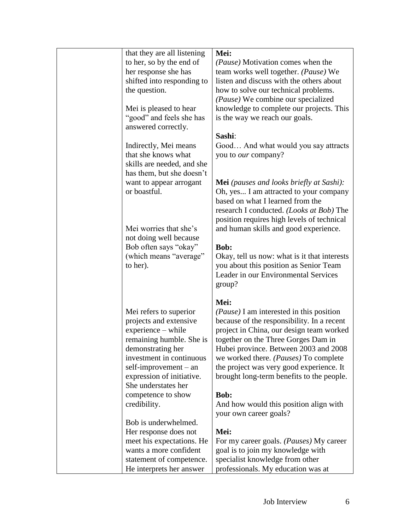| that they are all listening                      | Mei:                                                                                            |
|--------------------------------------------------|-------------------------------------------------------------------------------------------------|
| to her, so by the end of                         | (Pause) Motivation comes when the                                                               |
| her response she has                             | team works well together. (Pause) We                                                            |
| shifted into responding to                       | listen and discuss with the others about                                                        |
| the question.                                    | how to solve our technical problems.                                                            |
|                                                  | (Pause) We combine our specialized                                                              |
| Mei is pleased to hear                           | knowledge to complete our projects. This                                                        |
| "good" and feels she has                         | is the way we reach our goals.                                                                  |
| answered correctly.                              |                                                                                                 |
|                                                  | Sashi:                                                                                          |
| Indirectly, Mei means                            | Good And what would you say attracts                                                            |
| that she knows what                              | you to our company?                                                                             |
|                                                  |                                                                                                 |
| skills are needed, and she                       |                                                                                                 |
| has them, but she doesn't                        |                                                                                                 |
| want to appear arrogant                          | <b>Mei</b> (pauses and looks briefly at Sashi):                                                 |
| or boastful.                                     | Oh, yes I am attracted to your company                                                          |
|                                                  | based on what I learned from the                                                                |
|                                                  | research I conducted. ( <i>Looks at Bob</i> ) The                                               |
|                                                  | position requires high levels of technical                                                      |
| Mei worries that she's                           | and human skills and good experience.                                                           |
| not doing well because                           |                                                                                                 |
| Bob often says "okay"                            | Bob:                                                                                            |
| (which means "average"                           | Okay, tell us now: what is it that interests                                                    |
| to her).                                         | you about this position as Senior Team                                                          |
|                                                  | Leader in our Environmental Services                                                            |
|                                                  | group?                                                                                          |
|                                                  | Mei:                                                                                            |
|                                                  |                                                                                                 |
| Mei refers to superior<br>projects and extensive | ( <i>Pause</i> ) I am interested in this position<br>because of the responsibility. In a recent |
| experience – while                               | project in China, our design team worked                                                        |
|                                                  | together on the Three Gorges Dam in                                                             |
| remaining humble. She is                         |                                                                                                 |
| demonstrating her                                | Hubei province. Between 2003 and 2008                                                           |
| investment in continuous                         | we worked there. (Pauses) To complete                                                           |
| $self-improvement - an$                          | the project was very good experience. It                                                        |
| expression of initiative.                        | brought long-term benefits to the people.                                                       |
| She understates her                              |                                                                                                 |
| competence to show                               | <b>Bob:</b>                                                                                     |
| credibility.                                     | And how would this position align with                                                          |
|                                                  | your own career goals?                                                                          |
| Bob is underwhelmed.                             |                                                                                                 |
| Her response does not                            | Mei:                                                                                            |
| meet his expectations. He                        | For my career goals. ( <i>Pauses</i> ) My career                                                |
| wants a more confident                           | goal is to join my knowledge with                                                               |
| statement of competence.                         | specialist knowledge from other                                                                 |
| He interprets her answer                         | professionals. My education was at                                                              |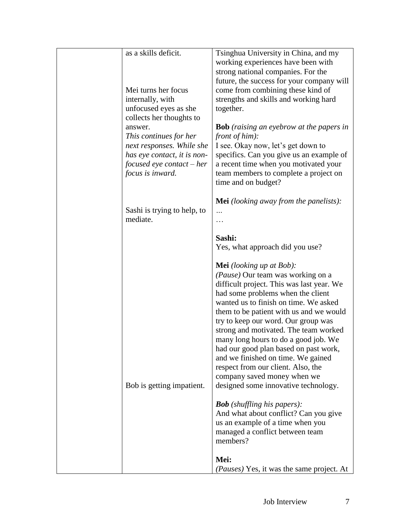| as a skills deficit.<br>Mei turns her focus<br>internally, with<br>unfocused eyes as she<br>collects her thoughts to<br>answer.<br>This continues for her<br>next responses. While she<br>has eye contact, it is non-<br>focused eye contact – her<br>focus is inward. | Tsinghua University in China, and my<br>working experiences have been with<br>strong national companies. For the<br>future, the success for your company will<br>come from combining these kind of<br>strengths and skills and working hard<br>together.<br><b>Bob</b> (raising an eyebrow at the papers in<br><i>front of him</i> ):<br>I see. Okay now, let's get down to<br>specifics. Can you give us an example of<br>a recent time when you motivated your<br>team members to complete a project on<br>time and on budget?                                                                                                                                                                                                                                                                                                  |
|------------------------------------------------------------------------------------------------------------------------------------------------------------------------------------------------------------------------------------------------------------------------|-----------------------------------------------------------------------------------------------------------------------------------------------------------------------------------------------------------------------------------------------------------------------------------------------------------------------------------------------------------------------------------------------------------------------------------------------------------------------------------------------------------------------------------------------------------------------------------------------------------------------------------------------------------------------------------------------------------------------------------------------------------------------------------------------------------------------------------|
| Sashi is trying to help, to<br>mediate.                                                                                                                                                                                                                                | <b>Mei</b> (looking away from the panelists):<br>.<br>.<br>Sashi:                                                                                                                                                                                                                                                                                                                                                                                                                                                                                                                                                                                                                                                                                                                                                                 |
| Bob is getting impatient.                                                                                                                                                                                                                                              | Yes, what approach did you use?<br><b>Mei</b> (looking up at Bob):<br>(Pause) Our team was working on a<br>difficult project. This was last year. We<br>had some problems when the client<br>wanted us to finish on time. We asked<br>them to be patient with us and we would<br>try to keep our word. Our group was<br>strong and motivated. The team worked<br>many long hours to do a good job. We<br>had our good plan based on past work,<br>and we finished on time. We gained<br>respect from our client. Also, the<br>company saved money when we<br>designed some innovative technology.<br><b>Bob</b> (shuffling his papers):<br>And what about conflict? Can you give<br>us an example of a time when you<br>managed a conflict between team<br>members?<br>Mei:<br>( <i>Pauses</i> ) Yes, it was the same project. At |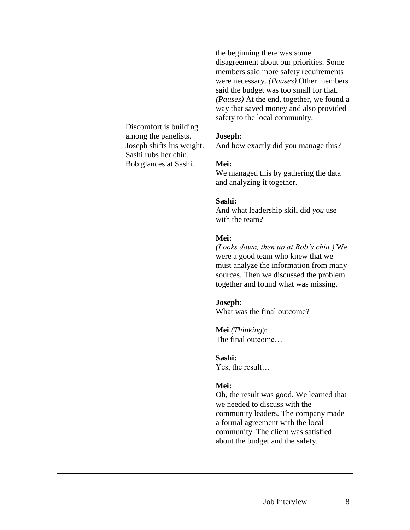| Discomfort is building<br>among the panelists.<br>Joseph shifts his weight.<br>Sashi rubs her chin.<br>Bob glances at Sashi. | the beginning there was some<br>disagreement about our priorities. Some<br>members said more safety requirements<br>were necessary. (Pauses) Other members<br>said the budget was too small for that.<br>(Pauses) At the end, together, we found a<br>way that saved money and also provided<br>safety to the local community.<br>Joseph:<br>And how exactly did you manage this?<br>Mei:<br>We managed this by gathering the data<br>and analyzing it together.<br>Sashi:<br>And what leadership skill did you use<br>with the team?<br>Mei:<br>( <i>Looks down, then up at Bob's chin.</i> ) We<br>were a good team who knew that we<br>must analyze the information from many<br>sources. Then we discussed the problem<br>together and found what was missing.<br>Joseph:<br>What was the final outcome?<br>Mei (Thinking):<br>The final outcome<br>Sashi:<br>Yes, the result<br>Mei:<br>Oh, the result was good. We learned that<br>we needed to discuss with the<br>community leaders. The company made<br>a formal agreement with the local<br>community. The client was satisfied<br>about the budget and the safety. |
|------------------------------------------------------------------------------------------------------------------------------|-------------------------------------------------------------------------------------------------------------------------------------------------------------------------------------------------------------------------------------------------------------------------------------------------------------------------------------------------------------------------------------------------------------------------------------------------------------------------------------------------------------------------------------------------------------------------------------------------------------------------------------------------------------------------------------------------------------------------------------------------------------------------------------------------------------------------------------------------------------------------------------------------------------------------------------------------------------------------------------------------------------------------------------------------------------------------------------------------------------------------------|
|------------------------------------------------------------------------------------------------------------------------------|-------------------------------------------------------------------------------------------------------------------------------------------------------------------------------------------------------------------------------------------------------------------------------------------------------------------------------------------------------------------------------------------------------------------------------------------------------------------------------------------------------------------------------------------------------------------------------------------------------------------------------------------------------------------------------------------------------------------------------------------------------------------------------------------------------------------------------------------------------------------------------------------------------------------------------------------------------------------------------------------------------------------------------------------------------------------------------------------------------------------------------|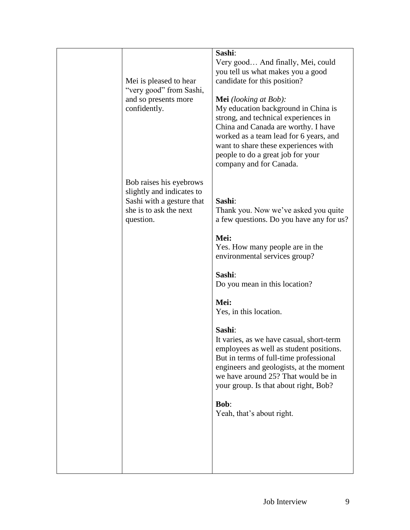| Mei is pleased to hear<br>"very good" from Sashi,<br>and so presents more<br>confidently.                                | Sashi:<br>Very good And finally, Mei, could<br>you tell us what makes you a good<br>candidate for this position?<br><b>Mei</b> (looking at Bob):<br>My education background in China is<br>strong, and technical experiences in<br>China and Canada are worthy. I have<br>worked as a team lead for 6 years, and<br>want to share these experiences with<br>people to do a great job for your<br>company and for Canada.                                                                                                                                              |
|--------------------------------------------------------------------------------------------------------------------------|-----------------------------------------------------------------------------------------------------------------------------------------------------------------------------------------------------------------------------------------------------------------------------------------------------------------------------------------------------------------------------------------------------------------------------------------------------------------------------------------------------------------------------------------------------------------------|
| Bob raises his eyebrows<br>slightly and indicates to<br>Sashi with a gesture that<br>she is to ask the next<br>question. | Sashi:<br>Thank you. Now we've asked you quite<br>a few questions. Do you have any for us?<br>Mei:<br>Yes. How many people are in the<br>environmental services group?<br>Sashi:<br>Do you mean in this location?<br>Mei:<br>Yes, in this location.<br>Sashi:<br>It varies, as we have casual, short-term<br>employees as well as student positions.<br>But in terms of full-time professional<br>engineers and geologists, at the moment<br>we have around 25? That would be in<br>your group. Is that about right, Bob?<br><b>Bob:</b><br>Yeah, that's about right. |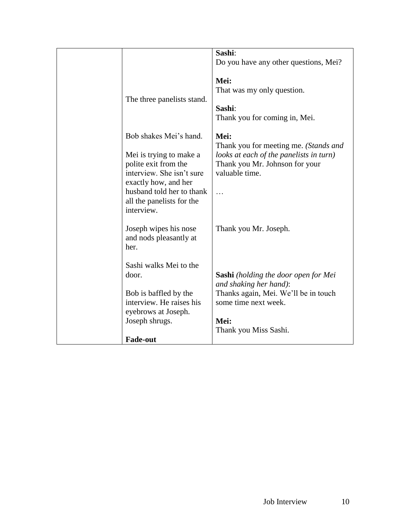|                            | Sashi:                                      |
|----------------------------|---------------------------------------------|
|                            | Do you have any other questions, Mei?       |
|                            |                                             |
|                            | Mei:                                        |
|                            | That was my only question.                  |
| The three panelists stand. |                                             |
|                            | Sashi:                                      |
|                            |                                             |
|                            | Thank you for coming in, Mei.               |
|                            |                                             |
| Bob shakes Mei's hand.     | Mei:                                        |
|                            | Thank you for meeting me. (Stands and       |
| Mei is trying to make a    | looks at each of the panelists in turn)     |
| polite exit from the       | Thank you Mr. Johnson for your              |
| interview. She isn't sure  | valuable time.                              |
|                            |                                             |
| exactly how, and her       |                                             |
| husband told her to thank  |                                             |
| all the panelists for the  |                                             |
| interview.                 |                                             |
|                            |                                             |
| Joseph wipes his nose      | Thank you Mr. Joseph.                       |
| and nods pleasantly at     |                                             |
| her.                       |                                             |
|                            |                                             |
|                            |                                             |
| Sashi walks Mei to the     |                                             |
| door.                      | <b>Sashi</b> (holding the door open for Mei |
|                            | and shaking her hand):                      |
| Bob is baffled by the      | Thanks again, Mei. We'll be in touch        |
| interview. He raises his   | some time next week.                        |
| eyebrows at Joseph.        |                                             |
| Joseph shrugs.             | Mei:                                        |
|                            |                                             |
|                            | Thank you Miss Sashi.                       |
| <b>Fade-out</b>            |                                             |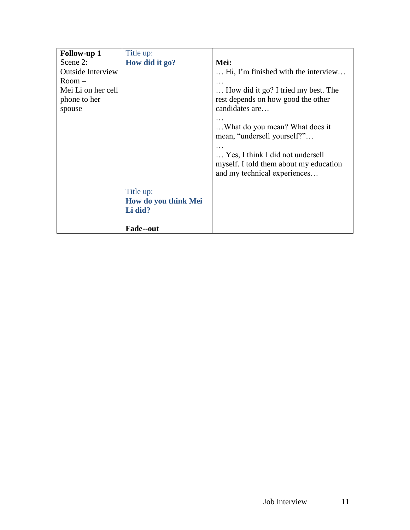| <b>Follow-up 1</b>       | Title up:            |                                                                                                                                                                             |
|--------------------------|----------------------|-----------------------------------------------------------------------------------------------------------------------------------------------------------------------------|
| Scene 2:                 | How did it go?       | Mei:                                                                                                                                                                        |
| <b>Outside Interview</b> |                      | Hi, I'm finished with the interview                                                                                                                                         |
| $Room-$                  |                      |                                                                                                                                                                             |
| Mei Li on her cell       |                      | How did it go? I tried my best. The                                                                                                                                         |
| phone to her             |                      | rest depends on how good the other                                                                                                                                          |
| spouse                   |                      | candidates are                                                                                                                                                              |
|                          |                      | What do you mean? What does it<br>mean, "undersell yourself?"<br>Yes, I think I did not undersell<br>myself. I told them about my education<br>and my technical experiences |
|                          | Title up:            |                                                                                                                                                                             |
|                          | How do you think Mei |                                                                                                                                                                             |
|                          | Li did?              |                                                                                                                                                                             |
|                          |                      |                                                                                                                                                                             |
|                          | <b>Fade--out</b>     |                                                                                                                                                                             |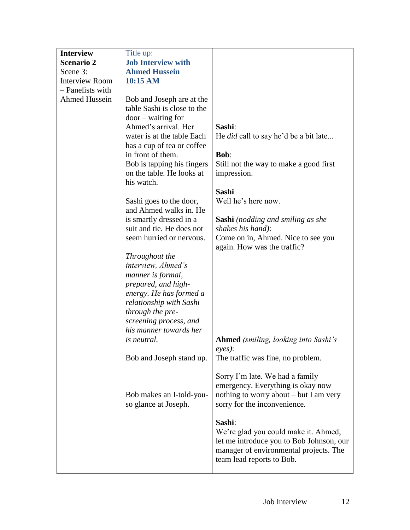| <b>Interview</b>      | Title up:                   |                                              |
|-----------------------|-----------------------------|----------------------------------------------|
| <b>Scenario 2</b>     | <b>Job Interview with</b>   |                                              |
| Scene 3:              | <b>Ahmed Hussein</b>        |                                              |
| <b>Interview Room</b> | 10:15 AM                    |                                              |
| - Panelists with      |                             |                                              |
| Ahmed Hussein         | Bob and Joseph are at the   |                                              |
|                       | table Sashi is close to the |                                              |
|                       | $door - waiting for$        |                                              |
|                       | Ahmed's arrival. Her        | Sashi:                                       |
|                       | water is at the table Each  | He <i>did</i> call to say he'd be a bit late |
|                       | has a cup of tea or coffee  |                                              |
|                       | in front of them.           | <b>Bob:</b>                                  |
|                       | Bob is tapping his fingers  | Still not the way to make a good first       |
|                       | on the table. He looks at   | impression.                                  |
|                       | his watch.                  |                                              |
|                       |                             | Sashi                                        |
|                       | Sashi goes to the door,     | Well he's here now.                          |
|                       | and Ahmed walks in. He      |                                              |
|                       | is smartly dressed in a     | <b>Sashi</b> (nodding and smiling as she     |
|                       | suit and tie. He does not   | shakes his hand):                            |
|                       | seem hurried or nervous.    | Come on in, Ahmed. Nice to see you           |
|                       | Throughout the              | again. How was the traffic?                  |
|                       | interview, Ahmed's          |                                              |
|                       | manner is formal,           |                                              |
|                       | prepared, and high-         |                                              |
|                       | energy. He has formed a     |                                              |
|                       | relationship with Sashi     |                                              |
|                       | through the pre-            |                                              |
|                       | screening process, and      |                                              |
|                       | his manner towards her      |                                              |
|                       | <i>is neutral.</i>          | <b>Ahmed</b> (smiling, looking into Sashi's  |
|                       |                             | eyes):                                       |
|                       | Bob and Joseph stand up.    | The traffic was fine, no problem.            |
|                       |                             |                                              |
|                       |                             | Sorry I'm late. We had a family              |
|                       |                             | emergency. Everything is okay now -          |
|                       | Bob makes an I-told-you-    | nothing to worry about – but I am very       |
|                       | so glance at Joseph.        | sorry for the inconvenience.                 |
|                       |                             |                                              |
|                       |                             | Sashi:                                       |
|                       |                             | We're glad you could make it. Ahmed,         |
|                       |                             | let me introduce you to Bob Johnson, our     |
|                       |                             | manager of environmental projects. The       |
|                       |                             | team lead reports to Bob.                    |
|                       |                             |                                              |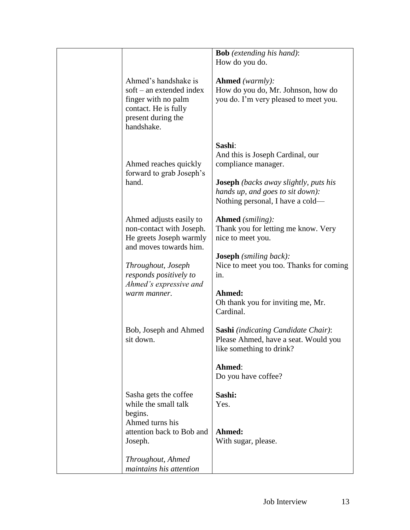|                                                                                                                                       | <b>Bob</b> (extending his hand):<br>How do you do.                                                                                                                                        |
|---------------------------------------------------------------------------------------------------------------------------------------|-------------------------------------------------------------------------------------------------------------------------------------------------------------------------------------------|
| Ahmed's handshake is<br>$soft - an extended index$<br>finger with no palm<br>contact. He is fully<br>present during the<br>handshake. | <b>Ahmed</b> (warmly):<br>How do you do, Mr. Johnson, how do<br>you do. I'm very pleased to meet you.                                                                                     |
| Ahmed reaches quickly<br>forward to grab Joseph's<br>hand.                                                                            | Sashi:<br>And this is Joseph Cardinal, our<br>compliance manager.<br><b>Joseph</b> (backs away slightly, puts his<br>hands up, and goes to sit down):<br>Nothing personal, I have a cold— |
| Ahmed adjusts easily to<br>non-contact with Joseph.<br>He greets Joseph warmly                                                        | <b>Ahmed</b> (smiling):<br>Thank you for letting me know. Very<br>nice to meet you.                                                                                                       |
| and moves towards him.<br>Throughout, Joseph<br>responds positively to                                                                | <b>Joseph</b> (smiling back):<br>Nice to meet you too. Thanks for coming<br>in.                                                                                                           |
| Ahmed's expressive and<br>warm manner.                                                                                                | Ahmed:<br>Oh thank you for inviting me, Mr.<br>Cardinal.                                                                                                                                  |
| Bob, Joseph and Ahmed<br>sit down.                                                                                                    | <b>Sashi</b> (indicating Candidate Chair):<br>Please Ahmed, have a seat. Would you<br>like something to drink?                                                                            |
|                                                                                                                                       | Ahmed:<br>Do you have coffee?                                                                                                                                                             |
| Sasha gets the coffee<br>while the small talk<br>begins.<br>Ahmed turns his                                                           | Sashi:<br>Yes.                                                                                                                                                                            |
| attention back to Bob and<br>Joseph.                                                                                                  | Ahmed:<br>With sugar, please.                                                                                                                                                             |
| Throughout, Ahmed<br>maintains his attention                                                                                          |                                                                                                                                                                                           |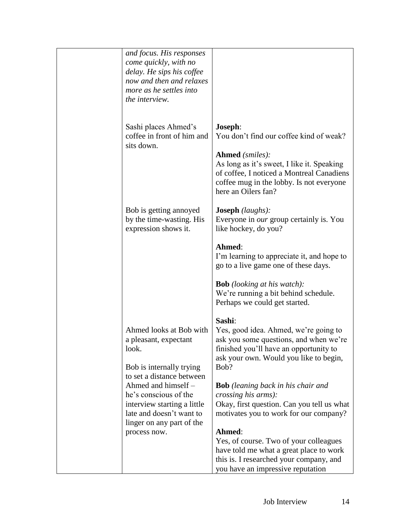| and focus. His responses<br>come quickly, with no<br>delay. He sips his coffee<br>now and then and relaxes<br>more as he settles into<br>the interview.                                                                                                                    |                                                                                                                                                                                                                                                                                                                                                                                                                                                                                                                                  |
|----------------------------------------------------------------------------------------------------------------------------------------------------------------------------------------------------------------------------------------------------------------------------|----------------------------------------------------------------------------------------------------------------------------------------------------------------------------------------------------------------------------------------------------------------------------------------------------------------------------------------------------------------------------------------------------------------------------------------------------------------------------------------------------------------------------------|
| Sashi places Ahmed's<br>coffee in front of him and<br>sits down.                                                                                                                                                                                                           | Joseph:<br>You don't find our coffee kind of weak?<br><b>Ahmed</b> (smiles):<br>As long as it's sweet, I like it. Speaking<br>of coffee, I noticed a Montreal Canadiens<br>coffee mug in the lobby. Is not everyone<br>here an Oilers fan?                                                                                                                                                                                                                                                                                       |
| Bob is getting annoyed<br>by the time-wasting. His<br>expression shows it.                                                                                                                                                                                                 | <b>Joseph</b> (laughs):<br>Everyone in our group certainly is. You<br>like hockey, do you?<br>Ahmed:<br>I'm learning to appreciate it, and hope to<br>go to a live game one of these days.<br><b>Bob</b> (looking at his watch):<br>We're running a bit behind schedule.<br>Perhaps we could get started.                                                                                                                                                                                                                        |
| Ahmed looks at Bob with<br>a pleasant, expectant<br>look.<br>Bob is internally trying<br>to set a distance between<br>Ahmed and himself -<br>he's conscious of the<br>interview starting a little<br>late and doesn't want to<br>linger on any part of the<br>process now. | Sashi:<br>Yes, good idea. Ahmed, we're going to<br>ask you some questions, and when we're<br>finished you'll have an opportunity to<br>ask your own. Would you like to begin,<br>Bob?<br><b>Bob</b> (leaning back in his chair and<br>crossing his arms):<br>Okay, first question. Can you tell us what<br>motivates you to work for our company?<br>Ahmed:<br>Yes, of course. Two of your colleagues<br>have told me what a great place to work<br>this is. I researched your company, and<br>you have an impressive reputation |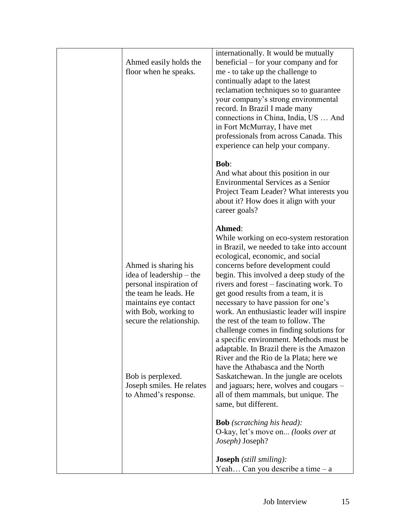| Ahmed easily holds the<br>floor when he speaks.                                                                                                                                                                                                             | internationally. It would be mutually<br>beneficial – for your company and for<br>me - to take up the challenge to<br>continually adapt to the latest<br>reclamation techniques so to guarantee<br>your company's strong environmental<br>record. In Brazil I made many<br>connections in China, India, US  And<br>in Fort McMurray, I have met<br>professionals from across Canada. This<br>experience can help your company.                                                                                                                                                                                                                                                                                                                                                                                                                                                                          |
|-------------------------------------------------------------------------------------------------------------------------------------------------------------------------------------------------------------------------------------------------------------|---------------------------------------------------------------------------------------------------------------------------------------------------------------------------------------------------------------------------------------------------------------------------------------------------------------------------------------------------------------------------------------------------------------------------------------------------------------------------------------------------------------------------------------------------------------------------------------------------------------------------------------------------------------------------------------------------------------------------------------------------------------------------------------------------------------------------------------------------------------------------------------------------------|
|                                                                                                                                                                                                                                                             | <b>Bob:</b><br>And what about this position in our<br><b>Environmental Services as a Senior</b><br>Project Team Leader? What interests you<br>about it? How does it align with your<br>career goals?                                                                                                                                                                                                                                                                                                                                                                                                                                                                                                                                                                                                                                                                                                    |
| Ahmed is sharing his<br>idea of leadership – the<br>personal inspiration of<br>the team he leads. He<br>maintains eye contact<br>with Bob, working to<br>secure the relationship.<br>Bob is perplexed.<br>Joseph smiles. He relates<br>to Ahmed's response. | Ahmed:<br>While working on eco-system restoration<br>in Brazil, we needed to take into account<br>ecological, economic, and social<br>concerns before development could<br>begin. This involved a deep study of the<br>rivers and forest – fascinating work. To<br>get good results from a team, it is<br>necessary to have passion for one's<br>work. An enthusiastic leader will inspire<br>the rest of the team to follow. The<br>challenge comes in finding solutions for<br>a specific environment. Methods must be<br>adaptable. In Brazil there is the Amazon<br>River and the Rio de la Plata; here we<br>have the Athabasca and the North<br>Saskatchewan. In the jungle are ocelots<br>and jaguars; here, wolves and cougars –<br>all of them mammals, but unique. The<br>same, but different.<br><b>Bob</b> (scratching his head):<br>O-kay, let's move on (looks over at<br>Joseph) Joseph? |
|                                                                                                                                                                                                                                                             | <b>Joseph</b> (still smiling):<br>Yeah Can you describe a time $-a$                                                                                                                                                                                                                                                                                                                                                                                                                                                                                                                                                                                                                                                                                                                                                                                                                                     |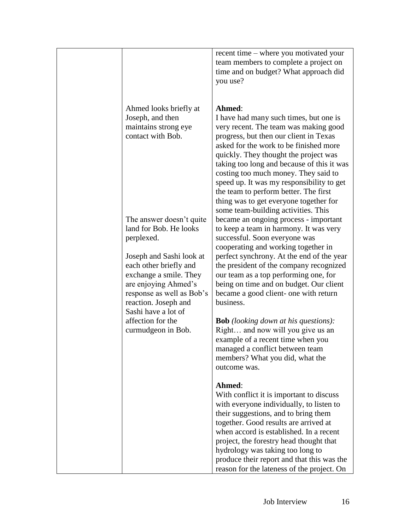|                                                                                                                                                                                  | recent time – where you motivated your<br>team members to complete a project on<br>time and on budget? What approach did<br>you use?                                                                                                                                                                                                                                                                                                                                                |
|----------------------------------------------------------------------------------------------------------------------------------------------------------------------------------|-------------------------------------------------------------------------------------------------------------------------------------------------------------------------------------------------------------------------------------------------------------------------------------------------------------------------------------------------------------------------------------------------------------------------------------------------------------------------------------|
| Ahmed looks briefly at<br>Joseph, and then<br>maintains strong eye<br>contact with Bob.                                                                                          | Ahmed:<br>I have had many such times, but one is<br>very recent. The team was making good<br>progress, but then our client in Texas<br>asked for the work to be finished more<br>quickly. They thought the project was<br>taking too long and because of this it was<br>costing too much money. They said to<br>speed up. It was my responsibility to get<br>the team to perform better. The first<br>thing was to get everyone together for<br>some team-building activities. This |
| The answer doesn't quite<br>land for Bob. He looks<br>perplexed.                                                                                                                 | became an ongoing process - important<br>to keep a team in harmony. It was very<br>successful. Soon everyone was<br>cooperating and working together in                                                                                                                                                                                                                                                                                                                             |
| Joseph and Sashi look at<br>each other briefly and<br>exchange a smile. They<br>are enjoying Ahmed's<br>response as well as Bob's<br>reaction. Joseph and<br>Sashi have a lot of | perfect synchrony. At the end of the year<br>the president of the company recognized<br>our team as a top performing one, for<br>being on time and on budget. Our client<br>became a good client- one with return<br>business.                                                                                                                                                                                                                                                      |
| affection for the<br>curmudgeon in Bob.                                                                                                                                          | <b>Bob</b> (looking down at his questions):<br>Right and now will you give us an<br>example of a recent time when you<br>managed a conflict between team<br>members? What you did, what the<br>outcome was.                                                                                                                                                                                                                                                                         |
|                                                                                                                                                                                  | Ahmed:<br>With conflict it is important to discuss<br>with everyone individually, to listen to<br>their suggestions, and to bring them<br>together. Good results are arrived at<br>when accord is established. In a recent<br>project, the forestry head thought that<br>hydrology was taking too long to<br>produce their report and that this was the<br>reason for the lateness of the project. On                                                                               |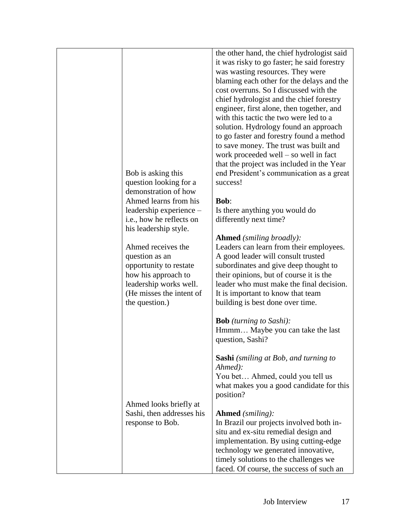| question as an<br>the question.) | Bob is asking this<br>question looking for a<br>demonstration of how<br>Ahmed learns from his<br>leadership experience -<br>i.e., how he reflects on<br>his leadership style.<br>Ahmed receives the<br>opportunity to restate<br>how his approach to<br>leadership works well.<br>(He misses the intent of | the other hand, the chief hydrologist said<br>it was risky to go faster; he said forestry<br>was wasting resources. They were<br>blaming each other for the delays and the<br>cost overruns. So I discussed with the<br>chief hydrologist and the chief forestry<br>engineer, first alone, then together, and<br>with this tactic the two were led to a<br>solution. Hydrology found an approach<br>to go faster and forestry found a method<br>to save money. The trust was built and<br>work proceeded well $-$ so well in fact<br>that the project was included in the Year<br>end President's communication as a great<br>success!<br><b>Bob:</b><br>Is there anything you would do<br>differently next time?<br><b>Ahmed</b> (smiling broadly):<br>Leaders can learn from their employees.<br>A good leader will consult trusted<br>subordinates and give deep thought to<br>their opinions, but of course it is the<br>leader who must make the final decision.<br>It is important to know that team<br>building is best done over time. |
|----------------------------------|------------------------------------------------------------------------------------------------------------------------------------------------------------------------------------------------------------------------------------------------------------------------------------------------------------|------------------------------------------------------------------------------------------------------------------------------------------------------------------------------------------------------------------------------------------------------------------------------------------------------------------------------------------------------------------------------------------------------------------------------------------------------------------------------------------------------------------------------------------------------------------------------------------------------------------------------------------------------------------------------------------------------------------------------------------------------------------------------------------------------------------------------------------------------------------------------------------------------------------------------------------------------------------------------------------------------------------------------------------------|
|                                  |                                                                                                                                                                                                                                                                                                            | <b>Bob</b> (turning to Sashi):<br>Hmmm Maybe you can take the last<br>question, Sashi?                                                                                                                                                                                                                                                                                                                                                                                                                                                                                                                                                                                                                                                                                                                                                                                                                                                                                                                                                         |
| response to Bob.                 | Ahmed looks briefly at<br>Sashi, then addresses his                                                                                                                                                                                                                                                        | <b>Sashi</b> (smiling at Bob, and turning to<br>Ahmed):<br>You bet Ahmed, could you tell us<br>what makes you a good candidate for this<br>position?<br><b>Ahmed</b> (smiling):<br>In Brazil our projects involved both in-<br>situ and ex-situ remedial design and<br>implementation. By using cutting-edge                                                                                                                                                                                                                                                                                                                                                                                                                                                                                                                                                                                                                                                                                                                                   |
|                                  |                                                                                                                                                                                                                                                                                                            | technology we generated innovative,<br>timely solutions to the challenges we<br>faced. Of course, the success of such an                                                                                                                                                                                                                                                                                                                                                                                                                                                                                                                                                                                                                                                                                                                                                                                                                                                                                                                       |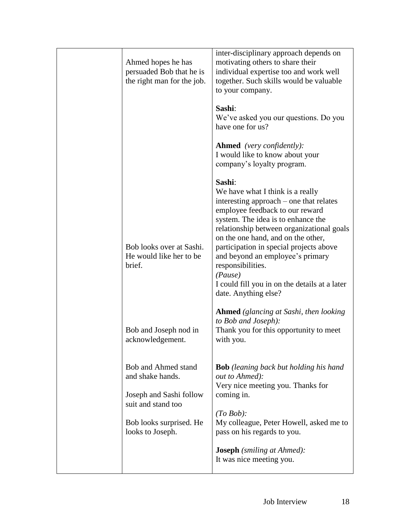| Ahmed hopes he has<br>persuaded Bob that he is<br>the right man for the job.                                                            | inter-disciplinary approach depends on<br>motivating others to share their<br>individual expertise too and work well<br>together. Such skills would be valuable<br>to your company.                                                                                                                                                                                                                                                       |
|-----------------------------------------------------------------------------------------------------------------------------------------|-------------------------------------------------------------------------------------------------------------------------------------------------------------------------------------------------------------------------------------------------------------------------------------------------------------------------------------------------------------------------------------------------------------------------------------------|
|                                                                                                                                         | Sashi:<br>We've asked you our questions. Do you<br>have one for us?                                                                                                                                                                                                                                                                                                                                                                       |
|                                                                                                                                         | <b>Ahmed</b> (very confidently):<br>I would like to know about your<br>company's loyalty program.                                                                                                                                                                                                                                                                                                                                         |
| Bob looks over at Sashi.<br>He would like her to be.<br>brief.                                                                          | Sashi:<br>We have what I think is a really<br>interesting approach – one that relates<br>employee feedback to our reward<br>system. The idea is to enhance the<br>relationship between organizational goals<br>on the one hand, and on the other,<br>participation in special projects above<br>and beyond an employee's primary<br>responsibilities.<br>(Pause)<br>I could fill you in on the details at a later<br>date. Anything else? |
| Bob and Joseph nod in<br>acknowledgement.                                                                                               | <b>Ahmed</b> (glancing at Sashi, then looking<br>to Bob and Joseph):<br>Thank you for this opportunity to meet<br>with you.                                                                                                                                                                                                                                                                                                               |
| Bob and Ahmed stand<br>and shake hands.<br>Joseph and Sashi follow<br>suit and stand too<br>Bob looks surprised. He<br>looks to Joseph. | <b>Bob</b> (leaning back but holding his hand<br>out to Ahmed):<br>Very nice meeting you. Thanks for<br>coming in.<br>(To Bob):<br>My colleague, Peter Howell, asked me to<br>pass on his regards to you.<br><b>Joseph</b> (smiling at Ahmed):<br>It was nice meeting you.                                                                                                                                                                |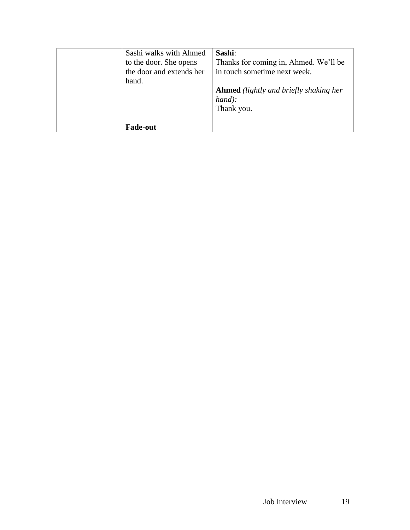| Sashi walks with Ahmed   | Sashi:                                        |
|--------------------------|-----------------------------------------------|
| to the door. She opens   | Thanks for coming in, Ahmed. We'll be         |
| the door and extends her | in touch sometime next week.                  |
| hand.                    |                                               |
|                          | <b>Ahmed</b> (lightly and briefly shaking her |
|                          | $hand$ :                                      |
|                          | Thank you.                                    |
|                          |                                               |
| <b>Fade-out</b>          |                                               |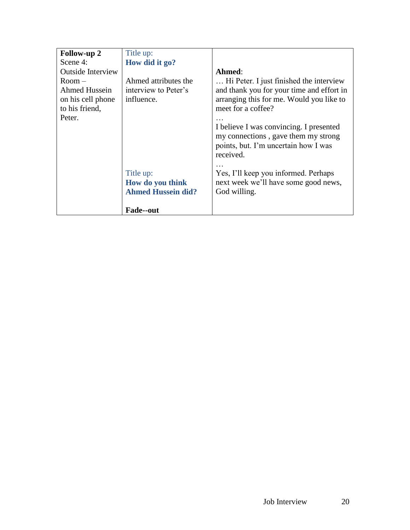| <b>Follow-up 2</b>       | Title up:                 |                                                                             |
|--------------------------|---------------------------|-----------------------------------------------------------------------------|
| Scene 4:                 | How did it go?            |                                                                             |
| <b>Outside Interview</b> |                           | Ahmed:                                                                      |
| $Room -$                 | Ahmed attributes the      | Hi Peter. I just finished the interview                                     |
| Ahmed Hussein            | interview to Peter's      | and thank you for your time and effort in                                   |
| on his cell phone        | influence.                | arranging this for me. Would you like to                                    |
| to his friend,           |                           | meet for a coffee?                                                          |
| Peter.                   |                           |                                                                             |
|                          |                           | I believe I was convincing. I presented                                     |
|                          |                           | my connections, gave them my strong<br>points, but. I'm uncertain how I was |
|                          |                           | received.                                                                   |
|                          |                           |                                                                             |
|                          | Title up:                 | Yes, I'll keep you informed. Perhaps                                        |
|                          | How do you think          | next week we'll have some good news,                                        |
|                          | <b>Ahmed Hussein did?</b> | God willing.                                                                |
|                          |                           |                                                                             |
|                          | <b>Fade--out</b>          |                                                                             |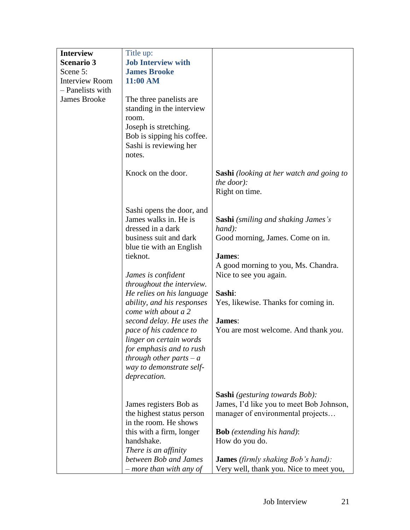| <b>Interview</b>      | Title up:                                          |                                                                                   |
|-----------------------|----------------------------------------------------|-----------------------------------------------------------------------------------|
| <b>Scenario 3</b>     | <b>Job Interview with</b>                          |                                                                                   |
| Scene 5:              | <b>James Brooke</b>                                |                                                                                   |
| <b>Interview Room</b> | 11:00 AM                                           |                                                                                   |
| - Panelists with      |                                                    |                                                                                   |
| <b>James Brooke</b>   | The three panelists are.                           |                                                                                   |
|                       | standing in the interview                          |                                                                                   |
|                       | room.                                              |                                                                                   |
|                       | Joseph is stretching.                              |                                                                                   |
|                       | Bob is sipping his coffee.                         |                                                                                   |
|                       | Sashi is reviewing her                             |                                                                                   |
|                       | notes.                                             |                                                                                   |
|                       | Knock on the door.                                 | <b>Sashi</b> (looking at her watch and going to<br>the door):<br>Right on time.   |
|                       |                                                    |                                                                                   |
|                       | Sashi opens the door, and<br>James walks in. He is |                                                                                   |
|                       | dressed in a dark                                  | <b>Sashi</b> (smiling and shaking James's<br>hand):                               |
|                       | business suit and dark                             | Good morning, James. Come on in.                                                  |
|                       | blue tie with an English                           |                                                                                   |
|                       | tieknot.                                           | James:                                                                            |
|                       |                                                    | A good morning to you, Ms. Chandra.                                               |
|                       | James is confident                                 | Nice to see you again.                                                            |
|                       | throughout the interview.                          |                                                                                   |
|                       | He relies on his language                          | Sashi:                                                                            |
|                       | ability, and his responses                         | Yes, likewise. Thanks for coming in.                                              |
|                       | come with about a 2                                |                                                                                   |
|                       | second delay. He uses the                          | James:                                                                            |
|                       | pace of his cadence to                             | You are most welcome. And thank you.                                              |
|                       | linger on certain words                            |                                                                                   |
|                       | for emphasis and to rush                           |                                                                                   |
|                       | through other parts $-a$                           |                                                                                   |
|                       | way to demonstrate self-                           |                                                                                   |
|                       | deprecation.                                       |                                                                                   |
|                       |                                                    |                                                                                   |
|                       | James registers Bob as                             | <b>Sashi</b> (gesturing towards Bob):<br>James, I'd like you to meet Bob Johnson, |
|                       | the highest status person                          | manager of environmental projects                                                 |
|                       | in the room. He shows                              |                                                                                   |
|                       | this with a firm, longer                           | <b>Bob</b> (extending his hand):                                                  |
|                       | handshake.                                         | How do you do.                                                                    |
|                       | There is an affinity                               |                                                                                   |
|                       | between Bob and James                              | <b>James</b> (firmly shaking Bob's hand):                                         |
|                       | more than with any of                              | Very well, thank you. Nice to meet you,                                           |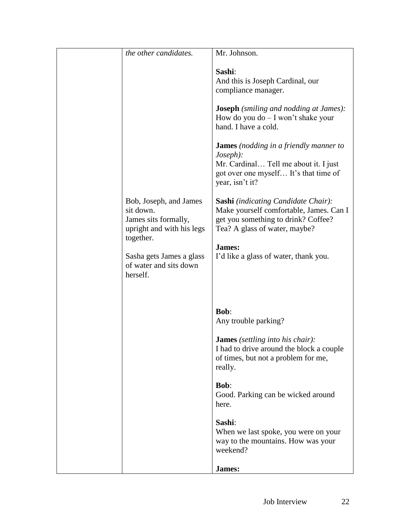| the other candidates.                                                                                 | Mr. Johnson.                                                                                                                                                   |
|-------------------------------------------------------------------------------------------------------|----------------------------------------------------------------------------------------------------------------------------------------------------------------|
|                                                                                                       | Sashi:<br>And this is Joseph Cardinal, our<br>compliance manager.                                                                                              |
|                                                                                                       | <b>Joseph</b> (smiling and nodding at James):<br>How do you do $- I$ won't shake your<br>hand. I have a cold.                                                  |
|                                                                                                       | <b>James</b> (nodding in a friendly manner to<br>Joseph):<br>Mr. Cardinal Tell me about it. I just<br>got over one myself It's that time of<br>year, isn't it? |
| Bob, Joseph, and James<br>sit down.<br>James sits formally,<br>upright and with his legs<br>together. | Sashi (indicating Candidate Chair):<br>Make yourself comfortable, James. Can I<br>get you something to drink? Coffee?<br>Tea? A glass of water, maybe?         |
| Sasha gets James a glass<br>of water and sits down<br>herself.                                        | James:<br>I'd like a glass of water, thank you.                                                                                                                |
|                                                                                                       |                                                                                                                                                                |
|                                                                                                       | <b>Bob:</b><br>Any trouble parking?                                                                                                                            |
|                                                                                                       | <b>James</b> (settling into his chair):<br>I had to drive around the block a couple<br>of times, but not a problem for me,<br>really.                          |
|                                                                                                       | <b>Bob:</b><br>Good. Parking can be wicked around<br>here.                                                                                                     |
|                                                                                                       | Sashi:<br>When we last spoke, you were on your<br>way to the mountains. How was your<br>weekend?                                                               |
|                                                                                                       | James:                                                                                                                                                         |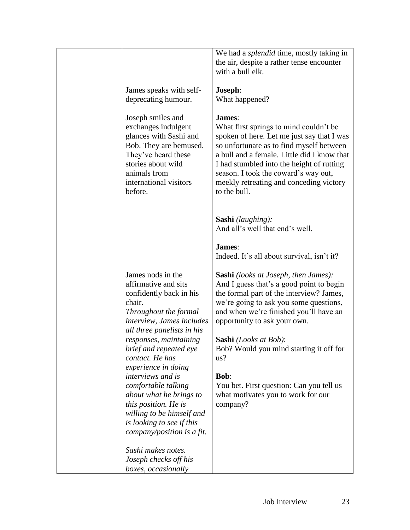| James speaks with self-<br>deprecating humour.<br>Joseph smiles and<br>exchanges indulgent<br>glances with Sashi and<br>Bob. They are bemused.<br>They've heard these<br>stories about wild<br>animals from<br>international visitors<br>before.                                 | We had a <i>splendid</i> time, mostly taking in<br>the air, despite a rather tense encounter<br>with a bull elk.<br>Joseph:<br>What happened?<br>James:<br>What first springs to mind couldn't be<br>spoken of here. Let me just say that I was<br>so unfortunate as to find myself between<br>a bull and a female. Little did I know that<br>I had stumbled into the height of rutting<br>season. I took the coward's way out,<br>meekly retreating and conceding victory<br>to the bull. |
|----------------------------------------------------------------------------------------------------------------------------------------------------------------------------------------------------------------------------------------------------------------------------------|--------------------------------------------------------------------------------------------------------------------------------------------------------------------------------------------------------------------------------------------------------------------------------------------------------------------------------------------------------------------------------------------------------------------------------------------------------------------------------------------|
| James nods in the<br>affirmative and sits<br>confidently back in his<br>chair.<br>Throughout the formal<br>interview, James includes<br>all three panelists in his<br>responses, maintaining<br>brief and repeated eye<br>contact. He has                                        | Sashi (laughing):<br>And all's well that end's well.<br>James:<br>Indeed. It's all about survival, isn't it?<br><b>Sashi</b> (looks at Joseph, then James):<br>And I guess that's a good point to begin<br>the formal part of the interview? James,<br>we're going to ask you some questions,<br>and when we're finished you'll have an<br>opportunity to ask your own.<br><b>Sashi</b> (Looks at Bob):<br>Bob? Would you mind starting it off for<br>us?                                  |
| experience in doing<br>interviews and is<br>comfortable talking<br>about what he brings to<br>this position. He is<br>willing to be himself and<br>is looking to see if this<br>company/position is a fit.<br>Sashi makes notes.<br>Joseph checks off his<br>boxes, occasionally | <b>Bob:</b><br>You bet. First question: Can you tell us<br>what motivates you to work for our<br>company?                                                                                                                                                                                                                                                                                                                                                                                  |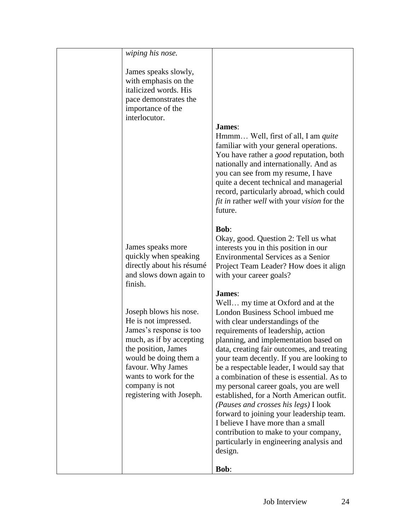| wiping his nose.          |                                                                                   |
|---------------------------|-----------------------------------------------------------------------------------|
| James speaks slowly,      |                                                                                   |
| with emphasis on the      |                                                                                   |
| italicized words. His     |                                                                                   |
| pace demonstrates the     |                                                                                   |
| importance of the         |                                                                                   |
| interlocutor.             |                                                                                   |
|                           | <b>James:</b>                                                                     |
|                           | Hmmm Well, first of all, I am <i>quite</i>                                        |
|                           | familiar with your general operations.                                            |
|                           | You have rather a <i>good</i> reputation, both                                    |
|                           | nationally and internationally. And as                                            |
|                           | you can see from my resume, I have<br>quite a decent technical and managerial     |
|                           | record, particularly abroad, which could                                          |
|                           | <i>fit in rather well with your vision for the</i>                                |
|                           | future.                                                                           |
|                           |                                                                                   |
|                           | <b>Bob:</b>                                                                       |
|                           | Okay, good. Question 2: Tell us what                                              |
| James speaks more         | interests you in this position in our                                             |
| quickly when speaking     | <b>Environmental Services as a Senior</b>                                         |
| directly about his résumé | Project Team Leader? How does it align                                            |
| and slows down again to   | with your career goals?                                                           |
| finish.                   |                                                                                   |
|                           | James:                                                                            |
| Joseph blows his nose.    | Well my time at Oxford and at the<br>London Business School imbued me             |
| He is not impressed.      | with clear understandings of the                                                  |
| James's response is too   | requirements of leadership, action                                                |
| much, as if by accepting  | planning, and implementation based on                                             |
| the position, James       | data, creating fair outcomes, and treating                                        |
| would be doing them a     | your team decently. If you are looking to                                         |
| favour. Why James         | be a respectable leader, I would say that                                         |
| wants to work for the     | a combination of these is essential. As to                                        |
| company is not            | my personal career goals, you are well                                            |
| registering with Joseph.  | established, for a North American outfit.                                         |
|                           | (Pauses and crosses his legs) I look                                              |
|                           | forward to joining your leadership team.                                          |
|                           | I believe I have more than a small                                                |
|                           | contribution to make to your company,<br>particularly in engineering analysis and |
|                           | design.                                                                           |
|                           |                                                                                   |
|                           | <b>Bob:</b>                                                                       |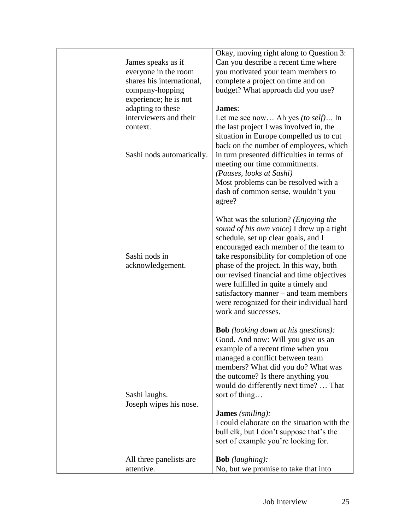| James speaks as if<br>everyone in the room<br>shares his international,<br>company-hopping<br>experience; he is not<br>adapting to these<br>interviewers and their<br>context.<br>Sashi nods automatically. | Okay, moving right along to Question 3:<br>Can you describe a recent time where<br>you motivated your team members to<br>complete a project on time and on<br>budget? What approach did you use?<br>James:<br>Let me see now Ah yes (to self) In<br>the last project I was involved in, the<br>situation in Europe compelled us to cut<br>back on the number of employees, which<br>in turn presented difficulties in terms of<br>meeting our time commitments.<br>(Pauses, looks at Sashi)<br>Most problems can be resolved with a<br>dash of common sense, wouldn't you<br>agree? |
|-------------------------------------------------------------------------------------------------------------------------------------------------------------------------------------------------------------|-------------------------------------------------------------------------------------------------------------------------------------------------------------------------------------------------------------------------------------------------------------------------------------------------------------------------------------------------------------------------------------------------------------------------------------------------------------------------------------------------------------------------------------------------------------------------------------|
| Sashi nods in<br>acknowledgement.                                                                                                                                                                           | What was the solution? ( <i>Enjoying the</i><br>sound of his own voice) I drew up a tight<br>schedule, set up clear goals, and I<br>encouraged each member of the team to<br>take responsibility for completion of one<br>phase of the project. In this way, both<br>our revised financial and time objectives<br>were fulfilled in quite a timely and<br>satisfactory manner – and team members<br>were recognized for their individual hard<br>work and successes.                                                                                                                |
| Sashi laughs.<br>Joseph wipes his nose.                                                                                                                                                                     | <b>Bob</b> (looking down at his questions):<br>Good. And now: Will you give us an<br>example of a recent time when you<br>managed a conflict between team<br>members? What did you do? What was<br>the outcome? Is there anything you<br>would do differently next time?  That<br>sort of thing<br><b>James</b> (smiling):<br>I could elaborate on the situation with the<br>bull elk, but I don't suppose that's the<br>sort of example you're looking for.                                                                                                                        |
| All three panelists are<br>attentive.                                                                                                                                                                       | <b>Bob</b> (laughing):<br>No, but we promise to take that into                                                                                                                                                                                                                                                                                                                                                                                                                                                                                                                      |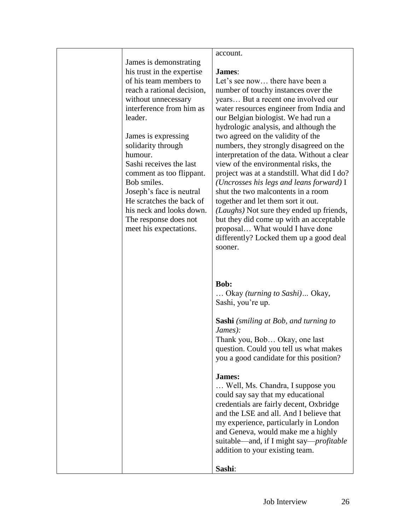|                            | account.                                        |
|----------------------------|-------------------------------------------------|
| James is demonstrating     |                                                 |
| his trust in the expertise | <b>James:</b>                                   |
| of his team members to     | Let's see now there have been a                 |
| reach a rational decision, | number of touchy instances over the             |
| without unnecessary        | years But a recent one involved our             |
| interference from him as   | water resources engineer from India and         |
| leader.                    | our Belgian biologist. We had run a             |
|                            | hydrologic analysis, and although the           |
| James is expressing        | two agreed on the validity of the               |
| solidarity through         | numbers, they strongly disagreed on the         |
| humour.                    | interpretation of the data. Without a clear     |
| Sashi receives the last    | view of the environmental risks, the            |
| comment as too flippant.   | project was at a standstill. What did I do?     |
| Bob smiles.                | (Uncrosses his legs and leans forward) $I$      |
| Joseph's face is neutral   | shut the two malcontents in a room              |
| He scratches the back of   | together and let them sort it out.              |
| his neck and looks down.   | (Laughs) Not sure they ended up friends,        |
| The response does not      | but they did come up with an acceptable         |
| meet his expectations.     | proposal What would I have done                 |
|                            | differently? Locked them up a good deal         |
|                            | sooner.                                         |
|                            |                                                 |
|                            |                                                 |
|                            |                                                 |
|                            | <b>Bob:</b>                                     |
|                            | Okay <i>(turning to Sashi)</i> Okay,            |
|                            | Sashi, you're up.                               |
|                            |                                                 |
|                            | <b>Sashi</b> (smiling at Bob, and turning to    |
|                            | James):                                         |
|                            | Thank you, Bob Okay, one last                   |
|                            | question. Could you tell us what makes          |
|                            | you a good candidate for this position?         |
|                            |                                                 |
|                            | James:                                          |
|                            | Well, Ms. Chandra, I suppose you                |
|                            | could say say that my educational               |
|                            | credentials are fairly decent, Oxbridge         |
|                            | and the LSE and all. And I believe that         |
|                            | my experience, particularly in London           |
|                            | and Geneva, would make me a highly              |
|                            | suitable—and, if I might say— <i>profitable</i> |
|                            | addition to your existing team.                 |
|                            |                                                 |
|                            | Sashi:                                          |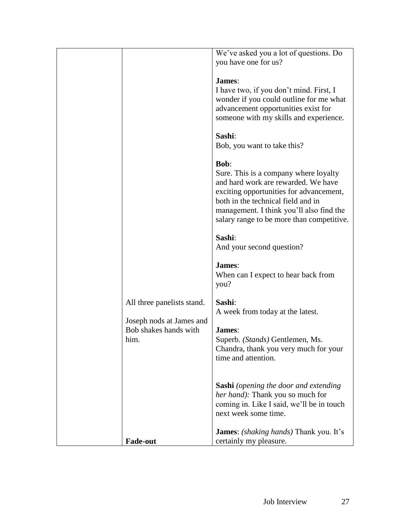| We've asked you a lot of questions. Do<br>I have two, if you don't mind. First, I<br>wonder if you could outline for me what<br>advancement opportunities exist for<br>someone with my skills and experience.<br>Sure. This is a company where loyalty |
|--------------------------------------------------------------------------------------------------------------------------------------------------------------------------------------------------------------------------------------------------------|
|                                                                                                                                                                                                                                                        |
|                                                                                                                                                                                                                                                        |
|                                                                                                                                                                                                                                                        |
|                                                                                                                                                                                                                                                        |
|                                                                                                                                                                                                                                                        |
|                                                                                                                                                                                                                                                        |
|                                                                                                                                                                                                                                                        |
|                                                                                                                                                                                                                                                        |
|                                                                                                                                                                                                                                                        |
|                                                                                                                                                                                                                                                        |
|                                                                                                                                                                                                                                                        |
|                                                                                                                                                                                                                                                        |
|                                                                                                                                                                                                                                                        |
|                                                                                                                                                                                                                                                        |
|                                                                                                                                                                                                                                                        |
|                                                                                                                                                                                                                                                        |
| and hard work are rewarded. We have                                                                                                                                                                                                                    |
| exciting opportunities for advancement,                                                                                                                                                                                                                |
|                                                                                                                                                                                                                                                        |
| management. I think you'll also find the                                                                                                                                                                                                               |
|                                                                                                                                                                                                                                                        |
| salary range to be more than competitive.                                                                                                                                                                                                              |
|                                                                                                                                                                                                                                                        |
|                                                                                                                                                                                                                                                        |
|                                                                                                                                                                                                                                                        |
|                                                                                                                                                                                                                                                        |
|                                                                                                                                                                                                                                                        |
|                                                                                                                                                                                                                                                        |
|                                                                                                                                                                                                                                                        |
|                                                                                                                                                                                                                                                        |
|                                                                                                                                                                                                                                                        |
|                                                                                                                                                                                                                                                        |
|                                                                                                                                                                                                                                                        |
|                                                                                                                                                                                                                                                        |
|                                                                                                                                                                                                                                                        |
|                                                                                                                                                                                                                                                        |
| Chandra, thank you very much for your                                                                                                                                                                                                                  |
|                                                                                                                                                                                                                                                        |
|                                                                                                                                                                                                                                                        |
|                                                                                                                                                                                                                                                        |
|                                                                                                                                                                                                                                                        |
| <b>Sashi</b> (opening the door and extending                                                                                                                                                                                                           |
|                                                                                                                                                                                                                                                        |
|                                                                                                                                                                                                                                                        |
| coming in. Like I said, we'll be in touch                                                                                                                                                                                                              |
|                                                                                                                                                                                                                                                        |
|                                                                                                                                                                                                                                                        |
| <b>James:</b> <i>(shaking hands)</i> Thank you. It's                                                                                                                                                                                                   |
| When can I expect to hear back from                                                                                                                                                                                                                    |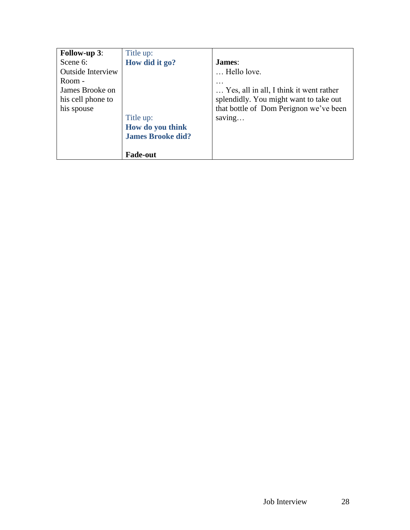| <b>Follow-up 3:</b>      | Title up:                |                                         |
|--------------------------|--------------------------|-----------------------------------------|
| Scene 6:                 | How did it go?           | James:                                  |
| <b>Outside Interview</b> |                          | Hello love.                             |
| Room -                   |                          |                                         |
| James Brooke on          |                          | Yes, all in all, I think it went rather |
| his cell phone to        |                          | splendidly. You might want to take out  |
| his spouse               |                          | that bottle of Dom Perignon we've been  |
|                          | Title up:                | saving                                  |
|                          | How do you think         |                                         |
|                          | <b>James Brooke did?</b> |                                         |
|                          |                          |                                         |
|                          | <b>Fade-out</b>          |                                         |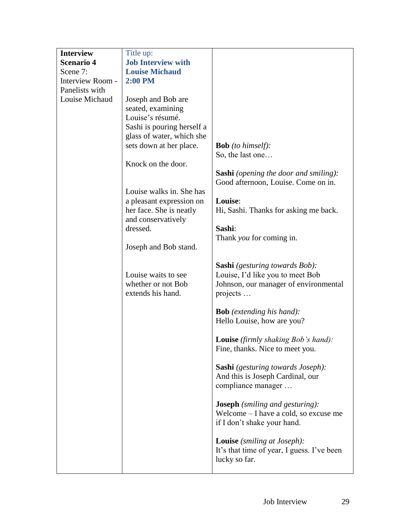| <b>Interview</b>  | Title up:                                                      |                                                                                                                                |
|-------------------|----------------------------------------------------------------|--------------------------------------------------------------------------------------------------------------------------------|
| <b>Scenario 4</b> | <b>Job Interview with</b>                                      |                                                                                                                                |
| Scene 7:          | <b>Louise Michaud</b>                                          |                                                                                                                                |
| Interview Room -  | <b>2:00 PM</b>                                                 |                                                                                                                                |
| Panelists with    |                                                                |                                                                                                                                |
| Louise Michaud    | Joseph and Bob are                                             |                                                                                                                                |
|                   | seated, examining                                              |                                                                                                                                |
|                   | Louise's résumé.                                               |                                                                                                                                |
|                   | Sashi is pouring herself a<br>glass of water, which she        |                                                                                                                                |
|                   | sets down at her place.                                        | <b>Bob</b> (to himself):                                                                                                       |
|                   |                                                                | So, the last one                                                                                                               |
|                   | Knock on the door.                                             |                                                                                                                                |
|                   |                                                                | <b>Sashi</b> (opening the door and smiling):                                                                                   |
|                   |                                                                | Good afternoon, Louise. Come on in.                                                                                            |
|                   | Louise walks in. She has                                       |                                                                                                                                |
|                   | a pleasant expression on                                       | Louise:                                                                                                                        |
|                   | her face. She is neatly                                        | Hi, Sashi. Thanks for asking me back.                                                                                          |
|                   | and conservatively                                             |                                                                                                                                |
|                   | dressed.                                                       | Sashi:                                                                                                                         |
|                   |                                                                | Thank you for coming in.                                                                                                       |
|                   | Joseph and Bob stand.                                          |                                                                                                                                |
|                   | Louise waits to see<br>whether or not Bob<br>extends his hand. | <b>Sashi</b> (gesturing towards Bob):<br>Louise, I'd like you to meet Bob<br>Johnson, our manager of environmental<br>projects |
|                   |                                                                |                                                                                                                                |
|                   |                                                                | <b>Bob</b> (extending his hand):<br>Hello Louise, how are you?                                                                 |
|                   |                                                                |                                                                                                                                |
|                   |                                                                | Louise (firmly shaking Bob's hand):<br>Fine, thanks. Nice to meet you.                                                         |
|                   |                                                                | <b>Sashi</b> (gesturing towards Joseph):<br>And this is Joseph Cardinal, our<br>compliance manager                             |
|                   |                                                                | <b>Joseph</b> (smiling and gesturing):<br>Welcome – I have a cold, so excuse me<br>if I don't shake your hand.                 |
|                   |                                                                | <b>Louise</b> ( <i>smiling at Joseph</i> ):<br>It's that time of year, I guess. I've been<br>lucky so far.                     |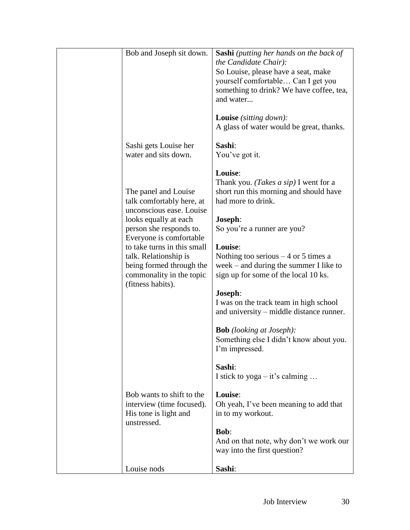| Bob and Joseph sit down.    | <b>Sashi</b> (putting her hands on the back of |
|-----------------------------|------------------------------------------------|
|                             | the Candidate Chair):                          |
|                             | So Louise, please have a seat, make            |
|                             | yourself comfortable Can I get you             |
|                             | something to drink? We have coffee, tea,       |
|                             | and water                                      |
|                             |                                                |
|                             |                                                |
|                             | <b>Louise</b> (sitting down):                  |
|                             | A glass of water would be great, thanks.       |
|                             |                                                |
| Sashi gets Louise her       | Sashi:                                         |
| water and sits down.        | You've got it.                                 |
|                             |                                                |
|                             | Louise:                                        |
|                             | Thank you. ( <i>Takes a sip</i> ) I went for a |
| The panel and Louise        | short run this morning and should have         |
| talk comfortably here, at   | had more to drink.                             |
| unconscious ease. Louise    |                                                |
| looks equally at each       | Joseph:                                        |
|                             |                                                |
| person she responds to.     | So you're a runner are you?                    |
| Everyone is comfortable     |                                                |
| to take turns in this small | Louise:                                        |
| talk. Relationship is       | Nothing too serious $-4$ or 5 times a          |
| being formed through the    | week – and during the summer I like to         |
| commonality in the topic    | sign up for some of the local 10 ks.           |
| (fitness habits).           |                                                |
|                             | Joseph:                                        |
|                             | I was on the track team in high school         |
|                             | and university – middle distance runner.       |
|                             |                                                |
|                             | <b>Bob</b> (looking at Joseph):                |
|                             |                                                |
|                             | Something else I didn't know about you.        |
|                             | I'm impressed.                                 |
|                             |                                                |
|                             | Sashi:                                         |
|                             | I stick to $yoga - it's calling $              |
|                             |                                                |
| Bob wants to shift to the   | Louise:                                        |
| interview (time focused).   | Oh yeah, I've been meaning to add that         |
| His tone is light and       | in to my workout.                              |
| unstressed.                 |                                                |
|                             | <b>Bob:</b>                                    |
|                             | And on that note, why don't we work our        |
|                             |                                                |
|                             | way into the first question?                   |
|                             |                                                |
| Louise nods                 | Sashi:                                         |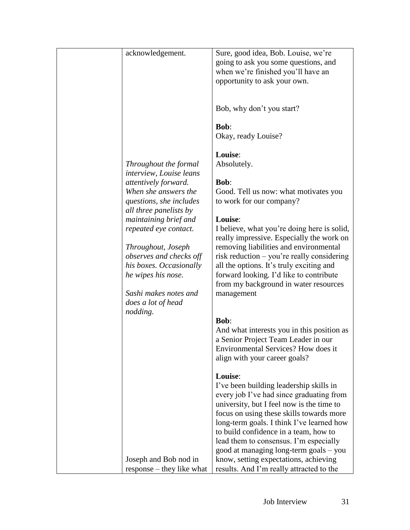| acknowledgement.          | Sure, good idea, Bob. Louise, we're         |
|---------------------------|---------------------------------------------|
|                           | going to ask you some questions, and        |
|                           | when we're finished you'll have an          |
|                           |                                             |
|                           | opportunity to ask your own.                |
|                           |                                             |
|                           |                                             |
|                           | Bob, why don't you start?                   |
|                           |                                             |
|                           | <b>Bob:</b>                                 |
|                           |                                             |
|                           | Okay, ready Louise?                         |
|                           |                                             |
|                           | Louise:                                     |
| Throughout the formal     | Absolutely.                                 |
| interview, Louise leans   |                                             |
|                           | <b>Bob:</b>                                 |
| attentively forward.      |                                             |
| When she answers the      | Good. Tell us now: what motivates you       |
| questions, she includes   | to work for our company?                    |
| all three panelists by    |                                             |
| maintaining brief and     | Louise:                                     |
| repeated eye contact.     | I believe, what you're doing here is solid, |
|                           |                                             |
|                           | really impressive. Especially the work on   |
| Throughout, Joseph        | removing liabilities and environmental      |
| observes and checks off   | risk reduction – you're really considering  |
| his boxes. Occasionally   | all the options. It's truly exciting and    |
| he wipes his nose.        | forward looking. I'd like to contribute     |
|                           | from my background in water resources       |
|                           |                                             |
| Sashi makes notes and     | management                                  |
| does a lot of head        |                                             |
| nodding.                  |                                             |
|                           | <b>Bob:</b>                                 |
|                           | And what interests you in this position as  |
|                           | a Senior Project Team Leader in our         |
|                           | Environmental Services? How does it         |
|                           |                                             |
|                           | align with your career goals?               |
|                           |                                             |
|                           | Louise:                                     |
|                           | I've been building leadership skills in     |
|                           | every job I've had since graduating from    |
|                           | university, but I feel now is the time to   |
|                           |                                             |
|                           | focus on using these skills towards more    |
|                           | long-term goals. I think I've learned how   |
|                           | to build confidence in a team, how to       |
|                           | lead them to consensus. I'm especially      |
|                           | good at managing long-term goals - you      |
|                           | know, setting expectations, achieving       |
| Joseph and Bob nod in     |                                             |
| response – they like what | results. And I'm really attracted to the    |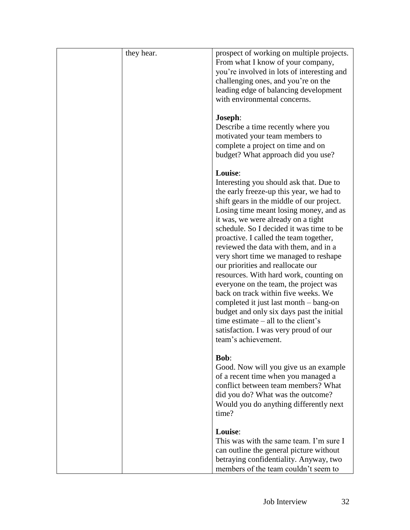| they hear. | prospect of working on multiple projects.<br>From what I know of your company,<br>you're involved in lots of interesting and<br>challenging ones, and you're on the<br>leading edge of balancing development<br>with environmental concerns.                                                                                                                                                                                                                                                                                                                                                                                                                                                                                                                       |
|------------|--------------------------------------------------------------------------------------------------------------------------------------------------------------------------------------------------------------------------------------------------------------------------------------------------------------------------------------------------------------------------------------------------------------------------------------------------------------------------------------------------------------------------------------------------------------------------------------------------------------------------------------------------------------------------------------------------------------------------------------------------------------------|
|            | Joseph:<br>Describe a time recently where you<br>motivated your team members to<br>complete a project on time and on<br>budget? What approach did you use?                                                                                                                                                                                                                                                                                                                                                                                                                                                                                                                                                                                                         |
|            | Louise:<br>Interesting you should ask that. Due to<br>the early freeze-up this year, we had to<br>shift gears in the middle of our project.<br>Losing time meant losing money, and as<br>it was, we were already on a tight<br>schedule. So I decided it was time to be<br>proactive. I called the team together,<br>reviewed the data with them, and in a<br>very short time we managed to reshape<br>our priorities and reallocate our<br>resources. With hard work, counting on<br>everyone on the team, the project was<br>back on track within five weeks. We<br>completed it just last month – bang-on<br>budget and only six days past the initial<br>time estimate $-$ all to the client's<br>satisfaction. I was very proud of our<br>team's achievement. |
|            | <b>Bob:</b><br>Good. Now will you give us an example<br>of a recent time when you managed a<br>conflict between team members? What<br>did you do? What was the outcome?<br>Would you do anything differently next<br>time?                                                                                                                                                                                                                                                                                                                                                                                                                                                                                                                                         |
|            | Louise:<br>This was with the same team. I'm sure I<br>can outline the general picture without<br>betraying confidentiality. Anyway, two<br>members of the team couldn't seem to                                                                                                                                                                                                                                                                                                                                                                                                                                                                                                                                                                                    |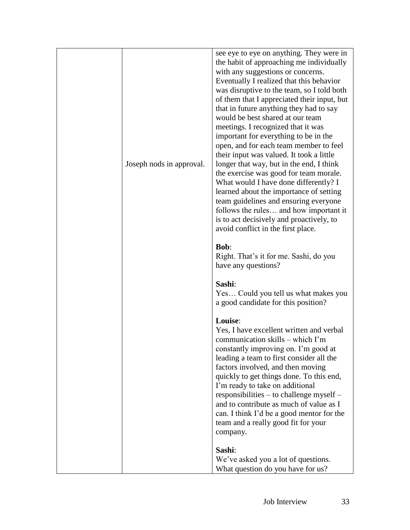| Joseph nods in approval. | see eye to eye on anything. They were in<br>the habit of approaching me individually<br>with any suggestions or concerns.<br>Eventually I realized that this behavior<br>was disruptive to the team, so I told both<br>of them that I appreciated their input, but<br>that in future anything they had to say<br>would be best shared at our team<br>meetings. I recognized that it was<br>important for everything to be in the<br>open, and for each team member to feel<br>their input was valued. It took a little<br>longer that way, but in the end, I think<br>the exercise was good for team morale.<br>What would I have done differently? I<br>learned about the importance of setting<br>team guidelines and ensuring everyone<br>follows the rules and how important it<br>is to act decisively and proactively, to<br>avoid conflict in the first place. |
|--------------------------|-----------------------------------------------------------------------------------------------------------------------------------------------------------------------------------------------------------------------------------------------------------------------------------------------------------------------------------------------------------------------------------------------------------------------------------------------------------------------------------------------------------------------------------------------------------------------------------------------------------------------------------------------------------------------------------------------------------------------------------------------------------------------------------------------------------------------------------------------------------------------|
|                          | <b>Bob:</b><br>Right. That's it for me. Sashi, do you<br>have any questions?                                                                                                                                                                                                                                                                                                                                                                                                                                                                                                                                                                                                                                                                                                                                                                                          |
|                          | Sashi:<br>Yes Could you tell us what makes you<br>a good candidate for this position?                                                                                                                                                                                                                                                                                                                                                                                                                                                                                                                                                                                                                                                                                                                                                                                 |
|                          | Louise:<br>Yes, I have excellent written and verbal<br>communication skills - which I'm<br>constantly improving on. I'm good at<br>leading a team to first consider all the<br>factors involved, and then moving<br>quickly to get things done. To this end,<br>I'm ready to take on additional<br>responsibilities – to challenge myself –<br>and to contribute as much of value as I<br>can. I think I'd be a good mentor for the<br>team and a really good fit for your<br>company.                                                                                                                                                                                                                                                                                                                                                                                |
|                          | Sashi:<br>We've asked you a lot of questions.<br>What question do you have for us?                                                                                                                                                                                                                                                                                                                                                                                                                                                                                                                                                                                                                                                                                                                                                                                    |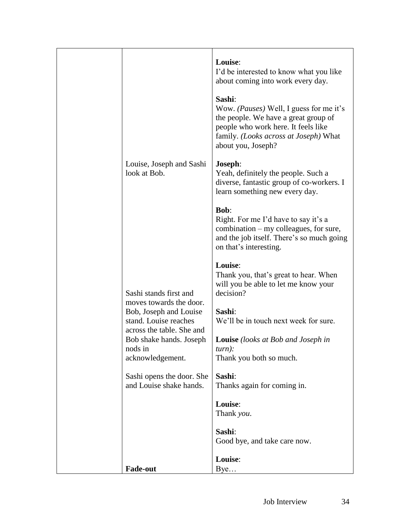|                                                                                                              | Louise:<br>I'd be interested to know what you like<br>about coming into work every day.<br>Sashi:<br>Wow. <i>(Pauses)</i> Well, I guess for me it's<br>the people. We have a great group of<br>people who work here. It feels like<br>family. ( <i>Looks across at Joseph</i> ) What<br>about you, Joseph? |
|--------------------------------------------------------------------------------------------------------------|------------------------------------------------------------------------------------------------------------------------------------------------------------------------------------------------------------------------------------------------------------------------------------------------------------|
| Louise, Joseph and Sashi<br>look at Bob.                                                                     | Joseph:<br>Yeah, definitely the people. Such a<br>diverse, fantastic group of co-workers. I<br>learn something new every day.                                                                                                                                                                              |
|                                                                                                              | <b>Bob:</b><br>Right. For me I'd have to say it's a<br>$combination - my$ colleagues, for sure,<br>and the job itself. There's so much going<br>on that's interesting.                                                                                                                                     |
| Sashi stands first and<br>moves towards the door.<br>Bob, Joseph and Louise                                  | Louise:<br>Thank you, that's great to hear. When<br>will you be able to let me know your<br>decision?<br>Sashi:                                                                                                                                                                                            |
| stand. Louise reaches<br>across the table. She and<br>Bob shake hands. Joseph<br>nods in<br>acknowledgement. | We'll be in touch next week for sure.<br><b>Louise</b> (looks at Bob and Joseph in<br>$turn)$ :<br>Thank you both so much.                                                                                                                                                                                 |
| Sashi opens the door. She<br>and Louise shake hands.                                                         | Sashi:<br>Thanks again for coming in.                                                                                                                                                                                                                                                                      |
|                                                                                                              | Louise:<br>Thank you.                                                                                                                                                                                                                                                                                      |
|                                                                                                              | Sashi:<br>Good bye, and take care now.                                                                                                                                                                                                                                                                     |
| <b>Fade-out</b>                                                                                              | Louise:<br>Bye                                                                                                                                                                                                                                                                                             |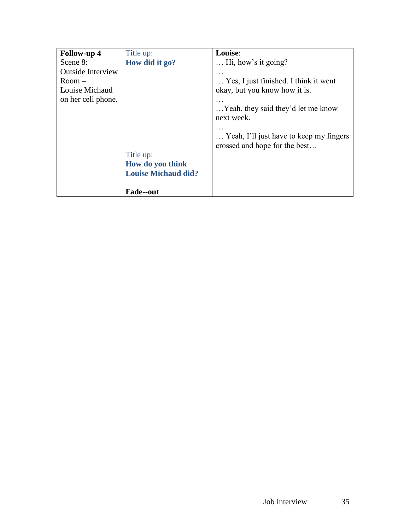| <b>Follow-up 4</b>       | Title up:                  | Louise:                                                                  |
|--------------------------|----------------------------|--------------------------------------------------------------------------|
| Scene 8:                 | How did it go?             | $\ldots$ Hi, how's it going?                                             |
| <b>Outside Interview</b> |                            |                                                                          |
| $Room -$                 |                            | Yes, I just finished. I think it went                                    |
| Louise Michaud           |                            | okay, but you know how it is.                                            |
| on her cell phone.       |                            |                                                                          |
|                          |                            | Yeah, they said they'd let me know<br>next week.                         |
|                          |                            | Yeah, I'll just have to keep my fingers<br>crossed and hope for the best |
|                          | Title up:                  |                                                                          |
|                          | How do you think           |                                                                          |
|                          | <b>Louise Michaud did?</b> |                                                                          |
|                          |                            |                                                                          |
|                          | <b>Fade--out</b>           |                                                                          |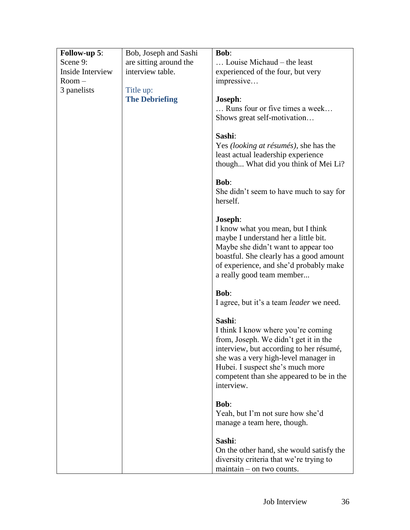| Follow-up 5:     | Bob, Joseph and Sashi  | <b>Bob:</b>                                                                                                                                                                                                                                                            |
|------------------|------------------------|------------------------------------------------------------------------------------------------------------------------------------------------------------------------------------------------------------------------------------------------------------------------|
| Scene 9:         | are sitting around the | Louise Michaud – the least                                                                                                                                                                                                                                             |
| Inside Interview | interview table.       | experienced of the four, but very                                                                                                                                                                                                                                      |
| $Room -$         |                        | impressive                                                                                                                                                                                                                                                             |
| 3 panelists      | Title up:              |                                                                                                                                                                                                                                                                        |
|                  | <b>The Debriefing</b>  | Joseph:                                                                                                                                                                                                                                                                |
|                  |                        | Runs four or five times a week                                                                                                                                                                                                                                         |
|                  |                        | Shows great self-motivation                                                                                                                                                                                                                                            |
|                  |                        | Sashi:<br>Yes <i>(looking at résumés)</i> , she has the<br>least actual leadership experience<br>though What did you think of Mei Li?                                                                                                                                  |
|                  |                        | <b>Bob:</b><br>She didn't seem to have much to say for<br>herself.                                                                                                                                                                                                     |
|                  |                        | Joseph:<br>I know what you mean, but I think<br>maybe I understand her a little bit.<br>Maybe she didn't want to appear too<br>boastful. She clearly has a good amount<br>of experience, and she'd probably make<br>a really good team member                          |
|                  |                        | <b>Bob:</b><br>I agree, but it's a team <i>leader</i> we need.                                                                                                                                                                                                         |
|                  |                        | Sashi:<br>I think I know where you're coming<br>from, Joseph. We didn't get it in the<br>interview, but according to her résumé,<br>she was a very high-level manager in<br>Hubei. I suspect she's much more<br>competent than she appeared to be in the<br>interview. |
|                  |                        | <b>Bob:</b><br>Yeah, but I'm not sure how she'd<br>manage a team here, though.                                                                                                                                                                                         |
|                  |                        | Sashi:<br>On the other hand, she would satisfy the<br>diversity criteria that we're trying to<br>$maintain - on two counts.$                                                                                                                                           |